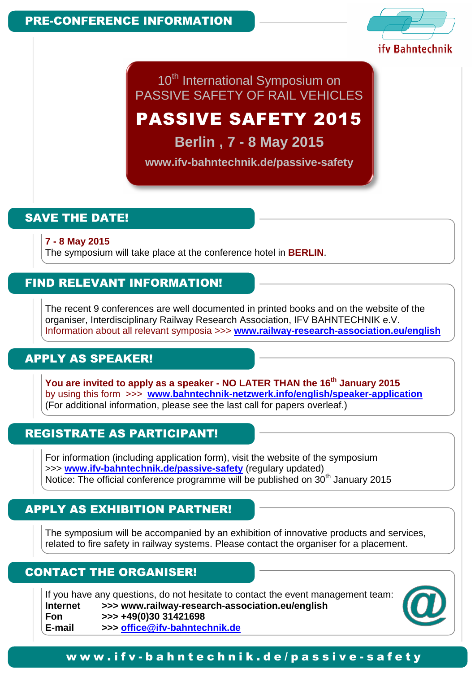l.



TO THIGHQUORD OF DAIL VELUOLES 10<sup>th</sup> International Symposium on PASSIVE SAFETY OF RAIL VEHICLES

# PASSIVE SAFETY 2015

**Berlin , 7 - 8 May 2015** 

**www.ifv-bahntechnik.de/passive-safety** 

## SAVE THE DATE!

**7 - 8 May 2015** 

The symposium will take place at the conference hotel in **BERLIN**.

### FIND RELEVANT INFORMATION!

The recent 9 conferences are well documented in printed books and on the website of the organiser, Interdisciplinary Railway Research Association, IFV BAHNTECHNIK e.V. Information about all relevant symposia >>> **www.railway-research-association.eu/english** 

## APPLY AS SPEAKER!

**You are invited to apply as a speaker - NO LATER THAN the 16th January 2015**  by using this form >>> **www.bahntechnik-netzwerk.info/english/speaker-application** (For additional information, please see the last call for papers overleaf.)

## REGISTRATE AS PARTICIPANT!

For information (including application form), visit the website of the symposium >>> **www.ifv-bahntechnik.de/passive-safety** (regulary updated) Notice: The official conference programme will be published on 30<sup>th</sup> January 2015

## APPLY AS EXHIBITION PARTNER!

The symposium will be accompanied by an exhibition of innovative products and services, related to fire safety in railway systems. Please contact the organiser for a placement.

### CONTACT THE ORGANISER!

If you have any questions, do not hesitate to contact the event management team: **Internet >>> www.railway-research-association.eu/english Fon >>> +49(0)30 31421698 E-mail >>> office@ifv-bahntechnik.de** 



#### w w w . i f v - b a h n t e c h n i k . d e / p a s s i v e - s a f e t y